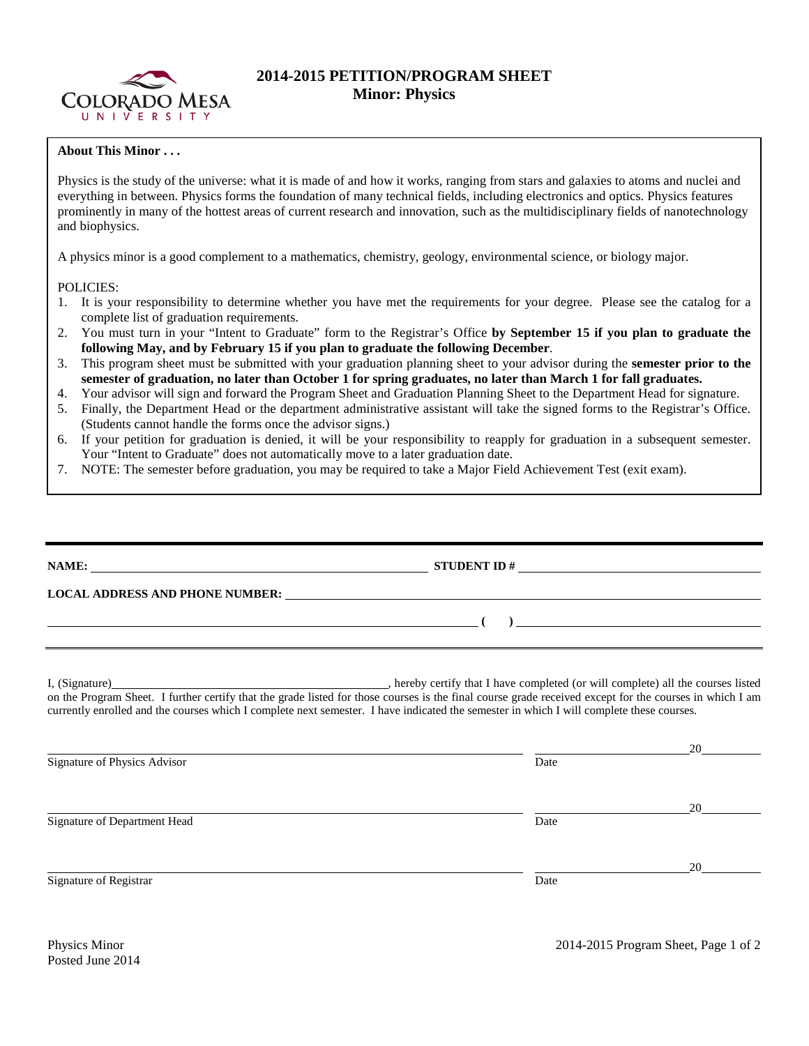

## **2014-2015 PETITION/PROGRAM SHEET Minor: Physics**

## **About This Minor . . .**

Physics is the study of the universe: what it is made of and how it works, ranging from stars and galaxies to atoms and nuclei and everything in between. Physics forms the foundation of many technical fields, including electronics and optics. Physics features prominently in many of the hottest areas of current research and innovation, such as the multidisciplinary fields of nanotechnology and biophysics.

A physics minor is a good complement to a mathematics, chemistry, geology, environmental science, or biology major.

## POLICIES:

- 1. It is your responsibility to determine whether you have met the requirements for your degree. Please see the catalog for a complete list of graduation requirements.
- 2. You must turn in your "Intent to Graduate" form to the Registrar's Office **by September 15 if you plan to graduate the following May, and by February 15 if you plan to graduate the following December**.
- 3. This program sheet must be submitted with your graduation planning sheet to your advisor during the **semester prior to the semester of graduation, no later than October 1 for spring graduates, no later than March 1 for fall graduates.**
- 4. Your advisor will sign and forward the Program Sheet and Graduation Planning Sheet to the Department Head for signature.
- 5. Finally, the Department Head or the department administrative assistant will take the signed forms to the Registrar's Office. (Students cannot handle the forms once the advisor signs.)
- 6. If your petition for graduation is denied, it will be your responsibility to reapply for graduation in a subsequent semester. Your "Intent to Graduate" does not automatically move to a later graduation date.
- 7. NOTE: The semester before graduation, you may be required to take a Major Field Achievement Test (exit exam).

|                                                                                                                                                                                                                                                                                                     | STUDENT ID $\#$ |                      |  |  |  |
|-----------------------------------------------------------------------------------------------------------------------------------------------------------------------------------------------------------------------------------------------------------------------------------------------------|-----------------|----------------------|--|--|--|
| LOCAL ADDRESS AND PHONE NUMBER: University of the contract of the contract of the contract of the contract of the contract of the contract of the contract of the contract of the contract of the contract of the contract of                                                                       |                 |                      |  |  |  |
| <u> 1989 - Jan Sterlinger, skriuwer en fan de Fryske kalender oan de Fryske kalender oan de Fryske kalender oan</u>                                                                                                                                                                                 |                 |                      |  |  |  |
| on the Program Sheet. I further certify that the grade listed for those courses is the final course grade received except for the courses in which I am<br>currently enrolled and the courses which I complete next semester. I have indicated the semester in which I will complete these courses. |                 |                      |  |  |  |
|                                                                                                                                                                                                                                                                                                     |                 | $20 \quad \text{or}$ |  |  |  |
| Signature of Physics Advisor                                                                                                                                                                                                                                                                        | Date            |                      |  |  |  |
|                                                                                                                                                                                                                                                                                                     |                 | 20                   |  |  |  |
| Signature of Department Head                                                                                                                                                                                                                                                                        | Date            |                      |  |  |  |
|                                                                                                                                                                                                                                                                                                     |                 | 20                   |  |  |  |
| Signature of Registrar                                                                                                                                                                                                                                                                              | Date            |                      |  |  |  |